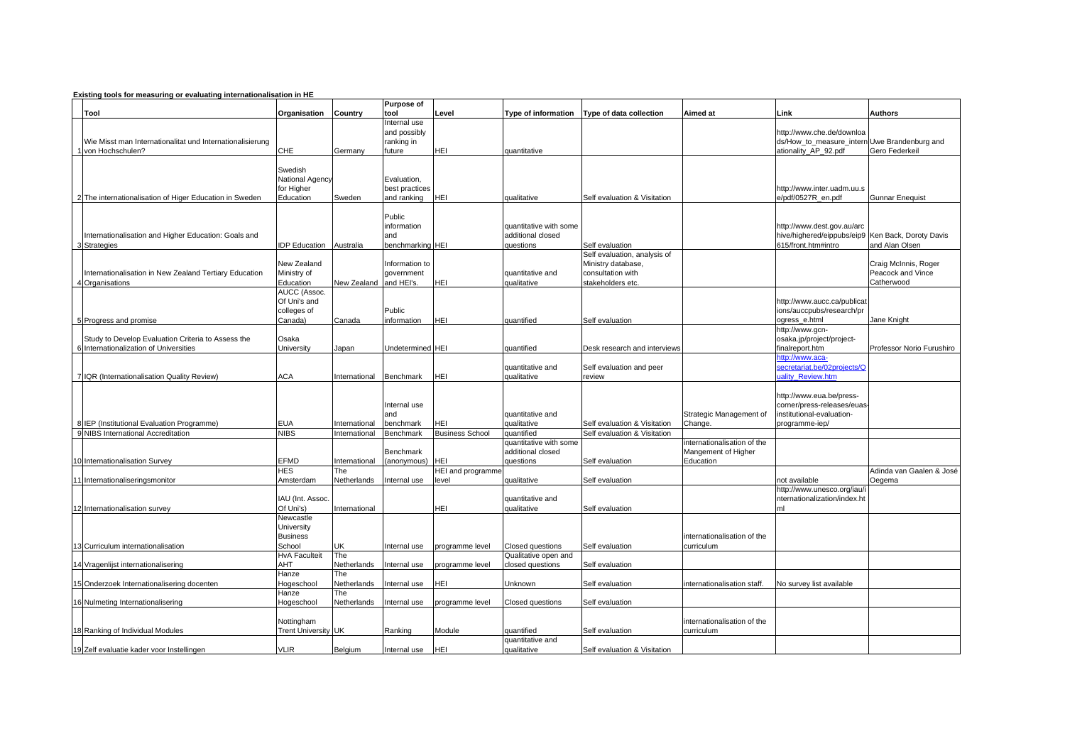## **Existing tools for measuring or evaluating internationalisation in HE**

|                                                           |                        |               | <b>Purpose of</b>            |                          |                                |                                                    |                             |                                                        |                           |
|-----------------------------------------------------------|------------------------|---------------|------------------------------|--------------------------|--------------------------------|----------------------------------------------------|-----------------------------|--------------------------------------------------------|---------------------------|
| Tool                                                      | Organisation           | Country       | tool                         | Level                    |                                | Type of information Type of data collection        | Aimed at                    | Link                                                   | <b>Authors</b>            |
|                                                           |                        |               | Internal use<br>and possibly |                          |                                |                                                    |                             | nttp://www.che.de/downloa                              |                           |
| Wie Misst man Internationalitat und Internationalisierung |                        |               | ranking in                   |                          |                                |                                                    |                             | ds/How_to_measure_intern Uwe Brandenburg and           |                           |
| I von Hochschulen?                                        | CHE                    | Germany       | future                       | HEI                      | auantitative                   |                                                    |                             | ationality AP 92.pdf                                   | Gero Federkeil            |
|                                                           |                        |               |                              |                          |                                |                                                    |                             |                                                        |                           |
|                                                           | Swedish                |               |                              |                          |                                |                                                    |                             |                                                        |                           |
|                                                           | National Agency        |               | Evaluation.                  |                          |                                |                                                    |                             |                                                        |                           |
|                                                           | for Higher             |               | best practices               |                          |                                |                                                    |                             | http://www.inter.uadm.uu.s                             |                           |
| 2 The internationalisation of Higer Education in Sweden   | Education              | Sweden        | and ranking                  | HEI                      | qualitative                    | Self evaluation & Visitation                       |                             | e/pdf/0527R_en.pdf                                     | <b>Gunnar Enequist</b>    |
|                                                           |                        |               |                              |                          |                                |                                                    |                             |                                                        |                           |
|                                                           |                        |               | Public                       |                          |                                |                                                    |                             |                                                        |                           |
|                                                           |                        |               | information                  |                          | quantitative with some         |                                                    |                             | http://www.dest.gov.au/arc                             |                           |
| Internationalisation and Higher Education: Goals and      |                        |               | and                          |                          | additional closed              |                                                    |                             | hive/highered/eippubs/eip9 Ken Back, Doroty Davis      |                           |
| 3 Strategies                                              | <b>IDP Education</b>   | Australia     | benchmarking HEI             |                          | questions                      | Self evaluation                                    |                             | 615/front.htm#intro                                    | and Alan Olsen            |
|                                                           | New Zealand            |               | Information to               |                          |                                | Self evaluation, analysis of<br>Ministry database, |                             |                                                        | Craig McInnis, Roger      |
| Internationalisation in New Zealand Tertiary Education    | Ministry of            |               | government                   |                          | quantitative and               | consultation with                                  |                             |                                                        | Peacock and Vince         |
| 4 Organisations                                           | Education              | New Zealand   | and HEI's.                   | HEI                      | qualitative                    | stakeholders etc.                                  |                             |                                                        | Catherwood                |
|                                                           | AUCC (Assoc.           |               |                              |                          |                                |                                                    |                             |                                                        |                           |
|                                                           | Of Uni's and           |               |                              |                          |                                |                                                    |                             | http://www.aucc.ca/publicat                            |                           |
|                                                           | colleges of            |               | Public                       |                          |                                |                                                    |                             | ions/auccpubs/research/pr                              |                           |
| 5 Progress and promise                                    | Canada)                | Canada        | information                  | HEI                      | quantified                     | Self evaluation                                    |                             | ogress e.html                                          | Jane Knight               |
|                                                           |                        |               |                              |                          |                                |                                                    |                             | -1ttp://www.gcn                                        |                           |
| Study to Develop Evaluation Criteria to Assess the        | Osaka                  |               |                              |                          |                                |                                                    |                             | osaka.jp/project/project-                              |                           |
| 6 Internationalization of Universities                    | Jniversity             | Japan         | Undetermined HEI             |                          | auantified                     | Desk research and interviews                       |                             | inalreport.htm                                         | Professor Norio Furushiro |
|                                                           |                        |               |                              |                          |                                |                                                    |                             | ttp://www.aca-                                         |                           |
|                                                           |                        |               |                              |                          | quantitative and               | Self evaluation and peer                           |                             | secretariat.be/02projects/Q                            |                           |
| 7 IQR (Internationalisation Quality Review)               | ACA                    | nternational  | Benchmark                    | HEI                      | qualitative                    | review                                             |                             | ality Review.htm                                       |                           |
|                                                           |                        |               |                              |                          |                                |                                                    |                             |                                                        |                           |
|                                                           |                        |               | Internal use                 |                          |                                |                                                    |                             | http://www.eua.be/press-<br>corner/press-releases/euas |                           |
|                                                           |                        |               | and                          |                          | quantitative and               |                                                    | Strategic Management of     | nstitutional-evaluation-                               |                           |
| 8 IEP (Institutional Evaluation Programme)                | EUA                    | nternational  | benchmark                    | HEI                      | qualitative                    | Self evaluation & Visitation                       | Change.                     | /rogramme-iep                                          |                           |
| 9 NIBS International Accreditation                        | VIBS                   | International | Benchmark                    | <b>Business School</b>   | quantified                     | Self evaluation & Visitation                       |                             |                                                        |                           |
|                                                           |                        |               |                              |                          | quantitative with some         |                                                    | nternationalisation of the  |                                                        |                           |
|                                                           |                        |               | Benchmark                    |                          | additional closed              |                                                    | Mangement of Higher         |                                                        |                           |
| 10 Internationalisation Survey                            | EFMD                   | nternational  | (anonymous)                  | HEI                      | auestions                      | Self evaluation                                    | Education                   |                                                        |                           |
|                                                           | HES                    | The           |                              | <b>HEI and programme</b> |                                |                                                    |                             |                                                        | Adinda van Gaalen & José  |
| 11 Internationaliseringsmonitor                           | Amsterdam              | Netherlands   | nternal use                  | level                    | qualitative                    | Self evaluation                                    |                             | ot available                                           | Oegema                    |
|                                                           |                        |               |                              |                          |                                |                                                    |                             | ittp://www.unesco.org/iau/i                            |                           |
|                                                           | IAU (Int. Assoc.       |               |                              |                          | quantitative and               |                                                    |                             | nternationalization/index.ht                           |                           |
| 12 Internationalisation survey                            | Of Uni's)<br>Newcastle | nternational  |                              | HEI                      | qualitative                    | Self evaluation                                    |                             | ml                                                     |                           |
|                                                           | University             |               |                              |                          |                                |                                                    |                             |                                                        |                           |
|                                                           | <b>Business</b>        |               |                              |                          |                                |                                                    | internationalisation of the |                                                        |                           |
| 13 Curriculum internationalisation                        | School                 | JK            | Internal use                 | programme level          | Closed questions               | Self evaluation                                    | curriculum                  |                                                        |                           |
|                                                           | <b>HvA Faculteit</b>   | The           |                              |                          | Qualitative open and           |                                                    |                             |                                                        |                           |
| 14 Vragenlijst internationalisering                       | AHT                    | Netherlands   | Internal use                 | programme level          | closed questions               | Self evaluation                                    |                             |                                                        |                           |
|                                                           | Hanze                  | The           |                              |                          |                                |                                                    |                             |                                                        |                           |
| 15 Onderzoek Internationalisering docenten                | <b>Hogeschool</b>      | Netherlands   | nternal use                  | HEI                      | Unknown                        | Self evaluation                                    | internationalisation staff. | No survey list available                               |                           |
|                                                           | Hanze                  | The           |                              |                          |                                |                                                    |                             |                                                        |                           |
| 16 Nulmeting Internationalisering                         | <b>Hogeschool</b>      | Netherlands   | nternal use                  | programme level          | Closed questions               | Self evaluation                                    |                             |                                                        |                           |
|                                                           |                        |               |                              |                          |                                |                                                    |                             |                                                        |                           |
|                                                           | Nottingham             |               |                              |                          |                                |                                                    | internationalisation of the |                                                        |                           |
| 18 Ranking of Individual Modules                          | Trent University UK    |               | Ranking                      | Module                   | auantified<br>quantitative and | Self evaluation                                    | curriculum                  |                                                        |                           |
| 19 Zelf evaluatie kader voor Instellingen                 | <b>VLIR</b>            | Belgium       | Internal use                 | HEI                      | qualitative                    | Self evaluation & Visitation                       |                             |                                                        |                           |
|                                                           |                        |               |                              |                          |                                |                                                    |                             |                                                        |                           |